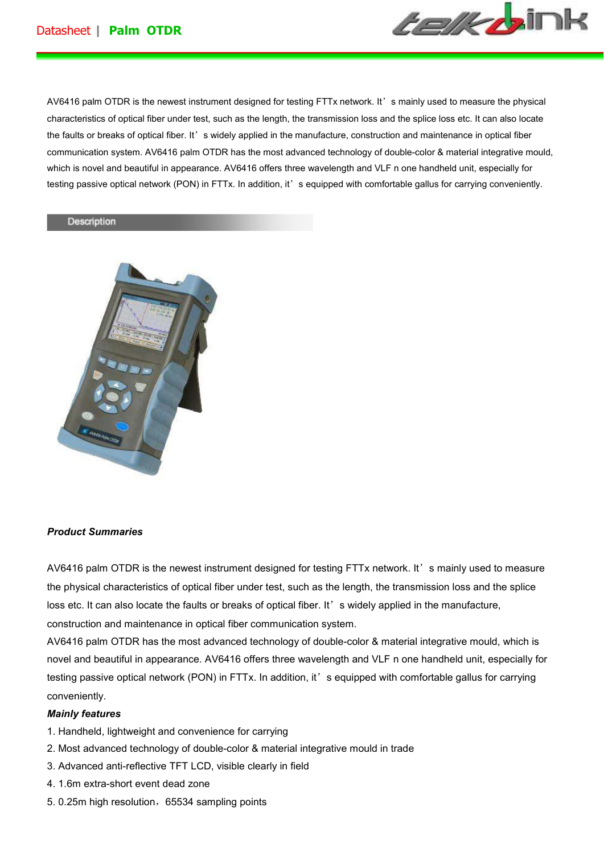

AV6416 palm OTDR is the newest instrument designed for testing FTTx network. It's mainly used to measure the physical characteristics of optical fiber under test, such as the length, the transmission loss and the splice loss etc. It can also locate the faults or breaks of optical fiber. It's widely applied in the manufacture, construction and maintenance in optical fiber communication system. AV6416 palm OTDR has the most advanced technology of double-color & material integrative mould, which is novel and beautiful in appearance. AV6416 offers three wavelength and VLF n one handheld unit, especially for testing passive optical network (PON) in FTTx. In addition, it's equipped with comfortable gallus for carrying conveniently.

#### Description



#### *Product Summaries*

AV6416 palm OTDR is the newest instrument designed for testing FTTx network. It's mainly used to measure the physical characteristics of optical fiber under test, such as the length, the transmission loss and the splice loss etc. It can also locate the faults or breaks of optical fiber. It' s widely applied in the manufacture, construction and maintenance in optical fiber communication system.

AV6416 palm OTDR has the most advanced technology of double-color & material integrative mould, which is novel and beautiful in appearance. AV6416 offers three wavelength and VLF n one handheld unit, especially for testing passive optical network (PON) in FTTx. In addition, it's equipped with comfortable gallus for carrying conveniently.

#### *Mainly features*

- 1. Handheld, lightweight and convenience for carrying
- 2. Most advanced technology of double-color & material integrative mould in trade
- 3. Advanced anti-reflective TFT LCD, visible clearly in field
- 4. 1.6m extra-short event dead zone
- 5. 0.25m high resolution, 65534 sampling points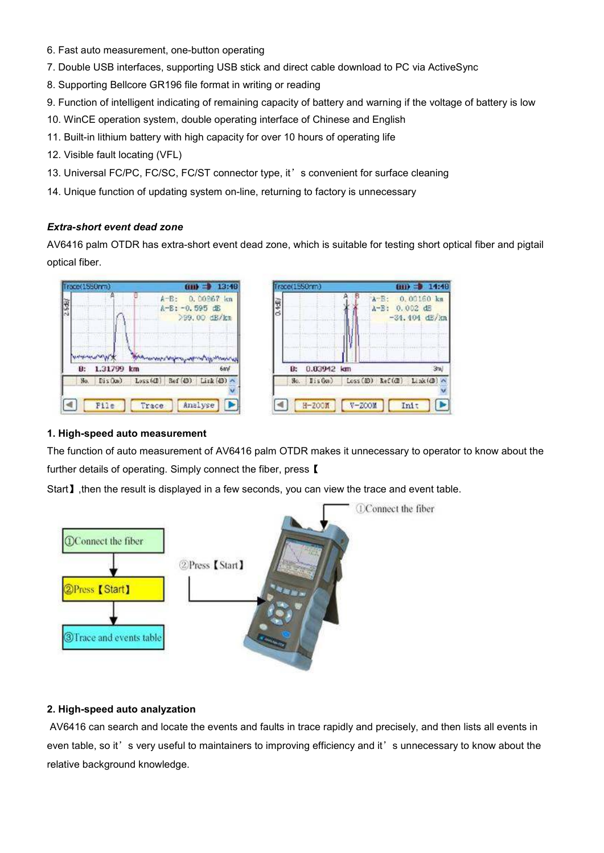- 6. Fast auto measurement, one-button operating
- 7. Double USB interfaces, supporting USB stick and direct cable download to PC via ActiveSync
- 8. Supporting Bellcore GR196 file format in writing or reading
- 9. Function of intelligent indicating of remaining capacity of battery and warning if the voltage of battery is low
- 10. WinCE operation system, double operating interface of Chinese and English
- 11. Built-in lithium battery with high capacity for over 10 hours of operating life
- 12. Visible fault locating (VFL)
- 13. Universal FC/PC, FC/SC, FC/ST connector type, it' s convenient for surface cleaning
- 14. Unique function of updating system on-line, returning to factory is unnecessary

# *Extra-short event dead zone*

AV6416 palm OTDR has extra-short event dead zone, which is suitable for testing short optical fiber and pigtail optical fiber.





# **1. High-speed auto measurement**

The function of auto measurement of AV6416 palm OTDR makes it unnecessary to operator to know about the further details of operating. Simply connect the fiber, press **[** 

Start】, then the result is displayed in a few seconds, you can view the trace and event table.



# **2. High-speed auto analyzation**

 AV6416 can search and locate the events and faults in trace rapidly and precisely, and then lists all events in even table, so it's very useful to maintainers to improving efficiency and it's unnecessary to know about the relative background knowledge.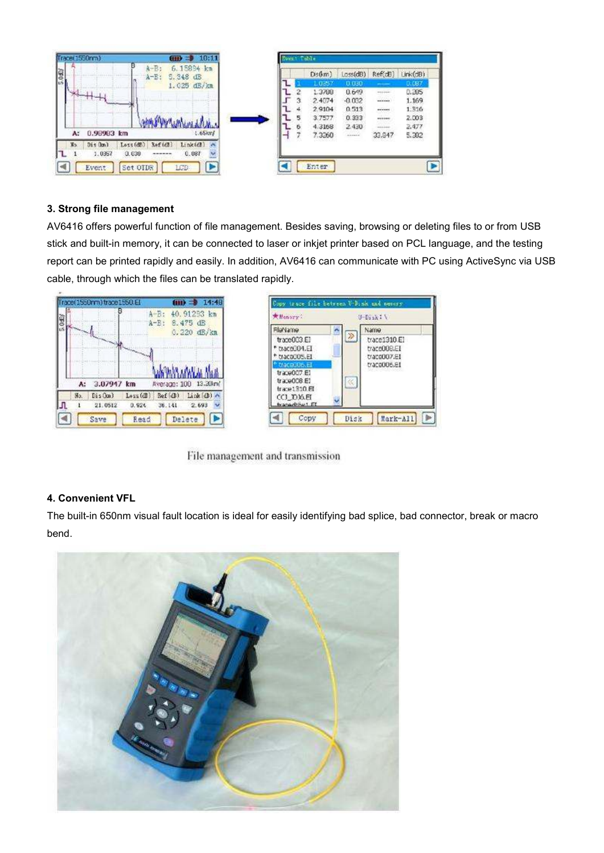

## **3. Strong file management**

AV6416 offers powerful function of file management. Besides saving, browsing or deleting files to or from USB stick and built-in memory, it can be connected to laser or inkjet printer based on PCL language, and the testing report can be printed rapidly and easily. In addition, AV6416 can communicate with PC using ActiveSync via USB cable, through which the files can be translated rapidly.





File management and transmission

# **4. Convenient VFL**

The built-in 650nm visual fault location is ideal for easily identifying bad splice, bad connector, break or macro bend.

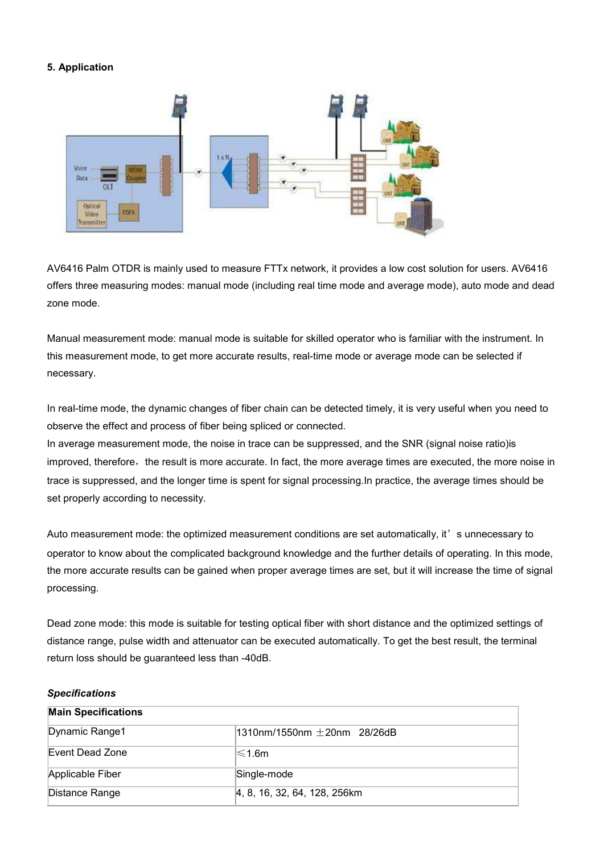## **5. Application**



AV6416 Palm OTDR is mainly used to measure FTTx network, it provides a low cost solution for users. AV6416 offers three measuring modes: manual mode (including real time mode and average mode), auto mode and dead zone mode.

Manual measurement mode: manual mode is suitable for skilled operator who is familiar with the instrument. In this measurement mode, to get more accurate results, real-time mode or average mode can be selected if necessary.

In real-time mode, the dynamic changes of fiber chain can be detected timely, it is very useful when you need to observe the effect and process of fiber being spliced or connected.

In average measurement mode, the noise in trace can be suppressed, and the SNR (signal noise ratio)is improved, therefore, the result is more accurate. In fact, the more average times are executed, the more noise in trace is suppressed, and the longer time is spent for signal processing.In practice, the average times should be set properly according to necessity.

Auto measurement mode: the optimized measurement conditions are set automatically, it' s unnecessary to operator to know about the complicated background knowledge and the further details of operating. In this mode, the more accurate results can be gained when proper average times are set, but it will increase the time of signal processing.

Dead zone mode: this mode is suitable for testing optical fiber with short distance and the optimized settings of distance range, pulse width and attenuator can be executed automatically. To get the best result, the terminal return loss should be guaranteed less than -40dB.

#### *Specifications*

| <b>Main Specifications</b> |                                |
|----------------------------|--------------------------------|
| Dynamic Range1             | $1310$ nm/1550nm +20nm 28/26dB |
| Event Dead Zone            | l≲1.6m                         |
| Applicable Fiber           | Single-mode                    |
| Distance Range             | 4, 8, 16, 32, 64, 128, 256km   |